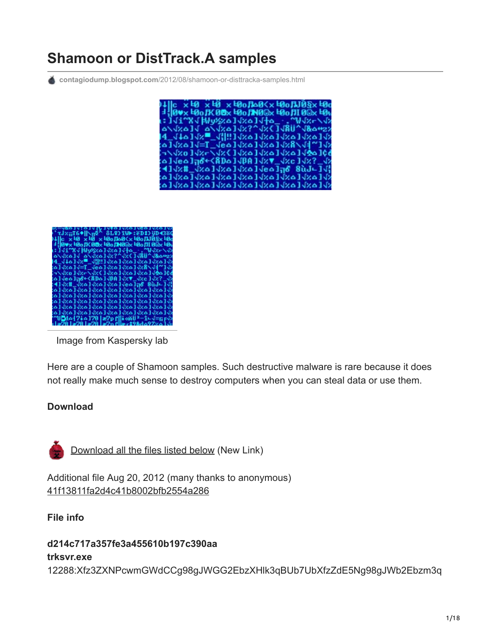# **Shamoon or DistTrack.A samples**

**contagiodump.blogspot.com**[/2012/08/shamoon-or-disttracka-samples.html](http://contagiodump.blogspot.com/2012/08/shamoon-or-disttracka-samples.html)



| <b>OINTLINT</b>                                                              |
|------------------------------------------------------------------------------|
| +`τJ×πT6♦  \n₫^−8L¥}IW►:ëD‡}YD438G                                           |
| )나  c x t0 x t0 x t0o∏o0 <x t0c<="" t0o∏j0§x="" td=""></x>                   |
| ∃¦ 0¥x 49o∬K00x 49o∭N0®x 49o∭ 0®x 49t                                        |
|                                                                              |
| a\vkalvakalve?^vxlJxlaway                                                    |
| 4 JIAI X - HIII VXAI JAAI JAAI JA                                            |
|                                                                              |
|                                                                              |
|                                                                              |
| :a]Jea] <del>,8+(8Da]JBA]JxV_Jxc]Jx?_J</del> x                               |
| :4] {x   {x ^] {x ^] {x ^] {x ^] {c ^] {6 } } {6 } {6 } {6 } {6 } {6 } {6 }} |
| «ا م×الم×الم×الم×الم×الم×الم×الم                                             |
| 01   م×1   م×1   م×1   م×1   م×1   م×1   م×1   م                             |
| 01ax01ax01ax01ax01ax01ax01ax01a                                              |
| «۱۹۰۱ م»۱۹۰۶ م»۱۹۰۱ م»۱ (م»۱ (م»۱ (م»                                        |
| تالمتالمتالمتالمتالمتالمتالمتالمتالم                                         |
| <b>~UQd^{7i^]70  æ7p f∭i«ŭUª-î∟√=rrF</b> V                                   |
| ين 1 م229 م281 م-19 م29 م29 م29 م 1 م29 م 1 م                                |

Image from Kaspersky lab

Here are a couple of Shamoon samples. Such destructive malware is rare because it does not really make much sense to destroy computers when you can steal data or use them.

#### **Download**



[Download all the files listed below](https://www.dropbox.com/s/06klngr08gd30am/Shamoon.zip?dl=0) (New Link)

Additional file Aug 20, 2012 (many thanks to anonymous) [41f13811fa2d4c41b8002bfb2554a286](http://www.mediafire.com/file/6qceq3qggf3kryq/Shamoon_41f13811fa2d4c41b8002bfb2554a286.exe.zip)

**File info**

#### **d214c717a357fe3a455610b197c390aa**

#### **trksvr.exe**

12288:Xfz3ZXNPcwmGWdCCg98gJWGG2EbzXHlk3qBUb7UbXfzZdE5Ng98gJWb2Ebzm3q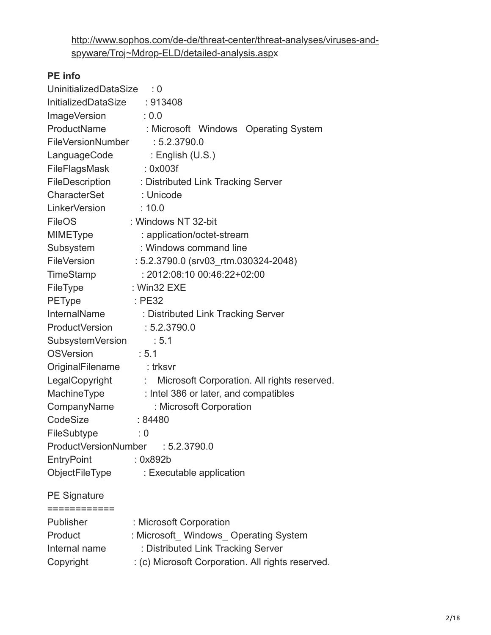[http://www.sophos.com/de-de/threat-center/threat-analyses/viruses-and](http://www.sophos.com/de-de/threat-center/threat-analyses/viruses-and-spyware/Troj~Mdrop-ELD/detailed-analysis.asp)spyware/Troj~Mdrop-ELD/detailed-analysis.aspx

## **PE info**

| UninitializedDataSize          | $\therefore$ 0                                    |
|--------------------------------|---------------------------------------------------|
| InitializedDataSize : 913408   |                                                   |
| ImageVersion                   | $\therefore$ 0.0                                  |
| ProductName                    | Microsoft Windows Operating System                |
| FileVersionNumber : 5.2.3790.0 |                                                   |
|                                | LanguageCode : English (U.S.)                     |
| FileFlagsMask                  | :0x003f                                           |
| FileDescription                | : Distributed Link Tracking Server                |
| CharacterSet                   | : Unicode                                         |
| LinkerVersion                  | : 10.0                                            |
| <b>FileOS</b>                  | : Windows NT 32-bit                               |
| MIMEType                       | : application/octet-stream                        |
| Subsystem                      | : Windows command line                            |
| FileVersion                    | : 5.2.3790.0 (srv03_rtm.030324-2048)              |
| TimeStamp                      | : 2012:08:10 00:46:22+02:00                       |
| FileType                       | : Win32 $EXE$                                     |
| <b>PEType</b>                  | $\therefore$ PE32                                 |
| InternalName                   | : Distributed Link Tracking Server                |
| ProductVersion : 5.2.3790.0    |                                                   |
| SubsystemVersion               | : 5.1                                             |
| <b>OSVersion</b>               | : 5.1                                             |
| OriginalFilename : trksvr      |                                                   |
| LegalCopyright                 | : Microsoft Corporation. All rights reserved.     |
| MachineType                    | : Intel 386 or later, and compatibles             |
| CompanyName                    | : Microsoft Corporation                           |
| CodeSize                       | :84480                                            |
| FileSubtype                    | $\therefore$ 0                                    |
| ProductVersionNumber           | : 5.2.3790.0                                      |
| EntryPoint                     | : 0x892b                                          |
| ObjectFileType                 | : Executable application                          |
| <b>PE Signature</b>            |                                                   |
| ============                   |                                                   |
| Publisher                      | : Microsoft Corporation                           |
| Product                        | : Microsoft_Windows_Operating System              |
| Internal name                  | : Distributed Link Tracking Server                |
| Copyright                      | : (c) Microsoft Corporation. All rights reserved. |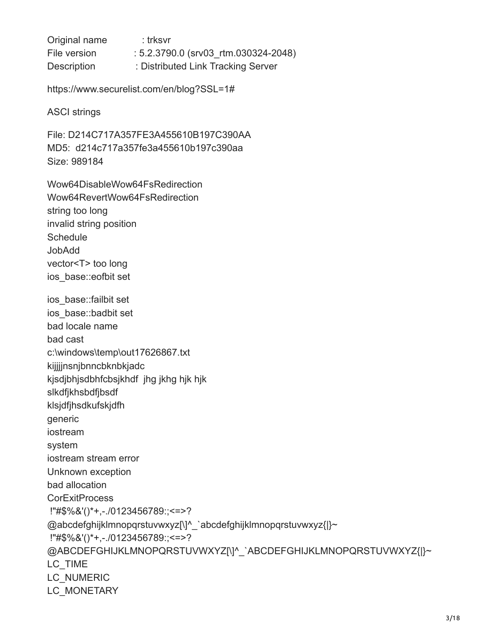Original name : trksvr File version : 5.2.3790.0 (srv03 rtm.030324-2048) Description : Distributed Link Tracking Server

https://www.securelist.com/en/blog?SSL=1#

ASCI strings

File: D214C717A357FE3A455610B197C390AA MD5: d214c717a357fe3a455610b197c390aa Size: 989184

Wow64DisableWow64FsRedirection Wow64RevertWow64FsRedirection string too long invalid string position **Schedule** JobAdd vector<T> too long ios\_base::eofbit set ios\_base::failbit set ios\_base::badbit set bad locale name bad cast c:\windows\temp\out17626867.txt kijjjjnsnjbnncbknbkjadc kjsdjbhjsdbhfcbsjkhdf jhg jkhg hjk hjk slkdfjkhsbdfjbsdf klsjdfjhsdkufskjdfh generic iostream system iostream stream error Unknown exception bad allocation **CorExitProcess**  !"#\$%&'()\*+,-./0123456789:;<=>? @abcdefghijklmnopqrstuvwxyz[\]^\_`abcdefghijklmnopqrstuvwxyz{|}~ !"#\$%&'()\*+,-./0123456789:;<=>? @ABCDEFGHIJKLMNOPQRSTUVWXYZ[\]^\_`ABCDEFGHIJKLMNOPQRSTUVWXYZ{|}~ LC TIME LC\_NUMERIC LC MONETARY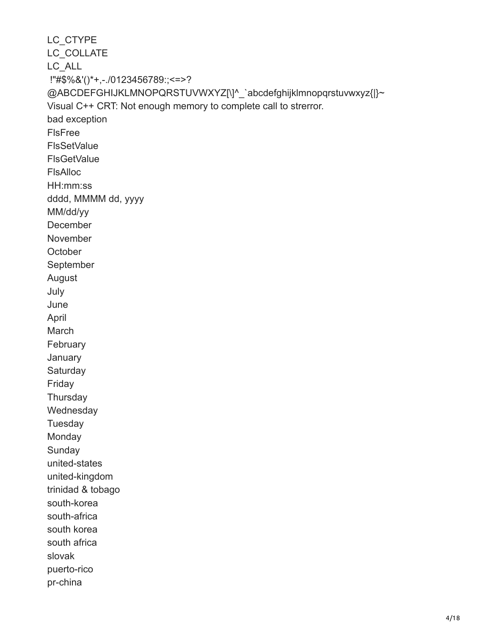LC\_CTYPE LC\_COLLATE LC\_ALL !"#\$%&'()\*+,-./0123456789:;<=>? @ABCDEFGHIJKLMNOPQRSTUVWXYZ[\]^\_`abcdefghijklmnopqrstuvwxyz{|}~ Visual C++ CRT: Not enough memory to complete call to strerror. bad exception FlsFree **FlsSetValue FlsGetValue** FlsAlloc HH:mm:ss dddd, MMMM dd, yyyy MM/dd/yy December November **October** September August July June April March **February January Saturday** Friday **Thursday Wednesday Tuesday** Monday **Sunday** united-states united-kingdom trinidad & tobago south-korea south-africa south korea south africa slovak puerto-rico pr-china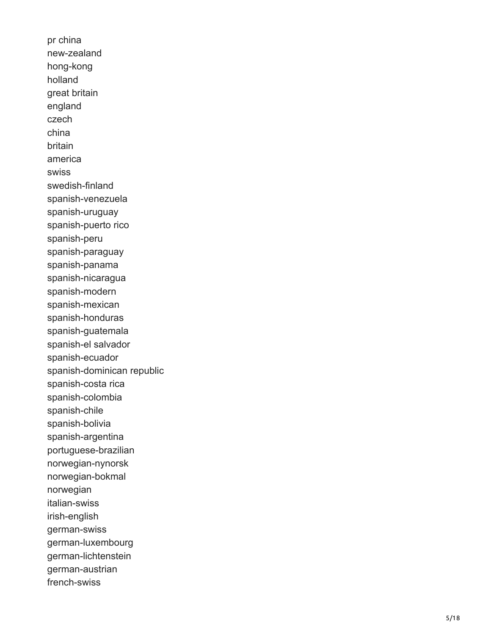pr china new-zealand hong-kong holland great britain england czech china britain america swiss swedish-finland spanish-venezuela spanish-uruguay spanish-puerto rico spanish-peru spanish-paraguay spanish-panama spanish-nicaragua spanish-modern spanish-mexican spanish-honduras spanish-guatemala spanish-el salvador spanish-ecuador spanish-dominican republic spanish-costa rica spanish-colombia spanish-chile spanish-bolivia spanish-argentina portuguese-brazilian norwegian-nynorsk norwegian-bokmal norwegian italian-swiss irish-english german-swiss german-luxembourg german-lichtenstein german-austrian french-swiss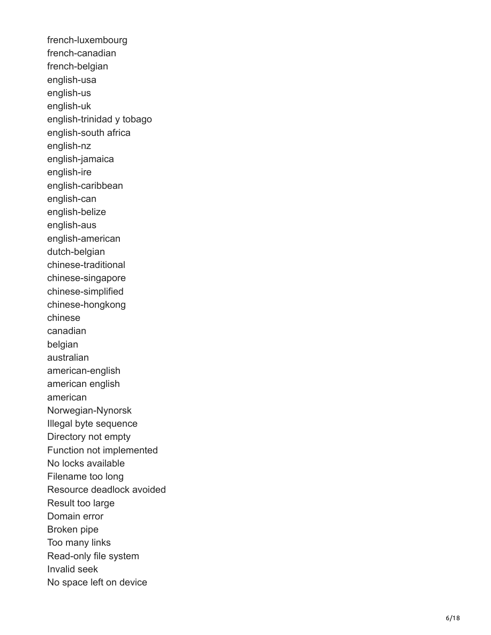french-luxembourg french-canadian french-belgian english-usa english-us english-uk english-trinidad y tobago english-south africa english-nz english-jamaica english-ire english-caribbean english-can english-belize english-aus english-american dutch-belgian chinese-traditional chinese-singapore chinese-simplified chinese-hongkong chinese canadian belgian australian american-english american english american Norwegian-Nynorsk Illegal byte sequence Directory not empty Function not implemented No locks available Filename too long Resource deadlock avoided Result too large Domain error Broken pipe Too many links Read-only file system Invalid seek No space left on device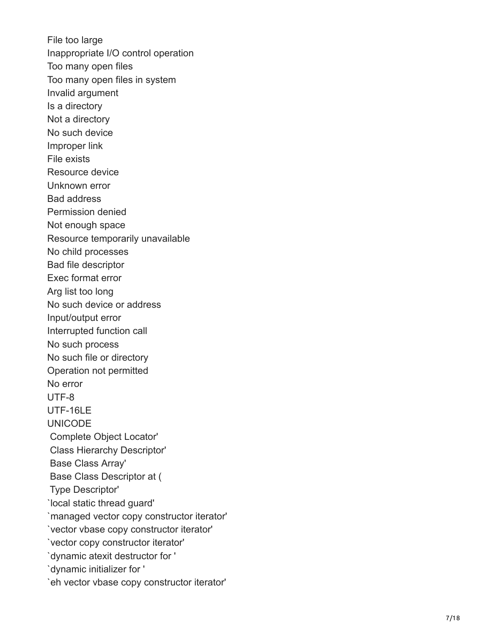File too large Inappropriate I/O control operation Too many open files Too many open files in system Invalid argument Is a directory Not a directory No such device Improper link File exists Resource device Unknown error Bad address Permission denied Not enough space Resource temporarily unavailable No child processes Bad file descriptor Exec format error Arg list too long No such device or address Input/output error Interrupted function call No such process No such file or directory Operation not permitted No error UTF-8 UTF-16LE UNICODE Complete Object Locator' Class Hierarchy Descriptor' Base Class Array' Base Class Descriptor at ( Type Descriptor' `local static thread guard' `managed vector copy constructor iterator' `vector vbase copy constructor iterator' `vector copy constructor iterator' `dynamic atexit destructor for ' `dynamic initializer for ' `eh vector vbase copy constructor iterator'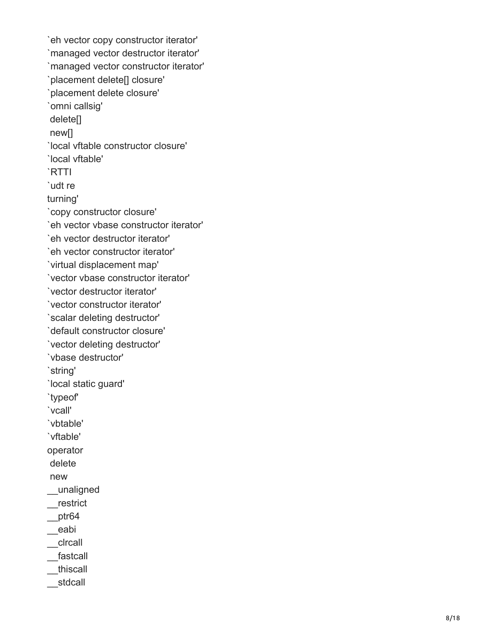`eh vector copy constructor iterator' `managed vector destructor iterator' `managed vector constructor iterator' `placement delete[] closure' `placement delete closure' `omni callsig' delete[] new[] `local vftable constructor closure' `local vftable' `RTTI `udt re turning' `copy constructor closure' `eh vector vbase constructor iterator' `eh vector destructor iterator' `eh vector constructor iterator' `virtual displacement map' `vector vbase constructor iterator' `vector destructor iterator' `vector constructor iterator' `scalar deleting destructor' `default constructor closure' `vector deleting destructor' `vbase destructor' `string' `local static guard' `typeof' `vcall' `vbtable' `vftable' operator delete new \_\_unaligned \_\_restrict  $_{\text{ptr64}}$ \_\_eabi \_\_clrcall \_\_fastcall \_\_thiscall \_\_stdcall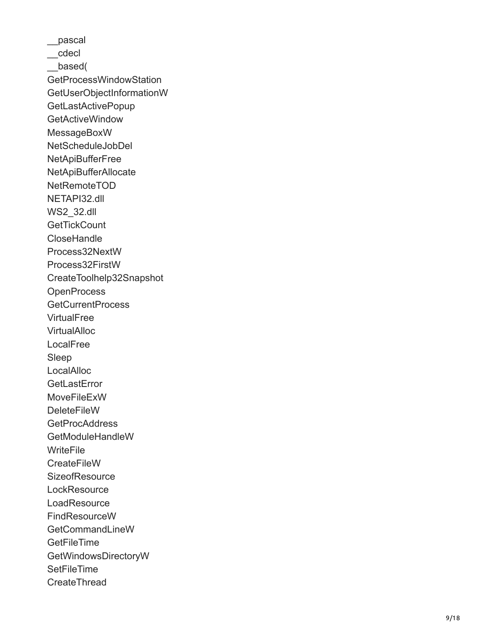\_\_pascal \_\_cdecl \_\_based( GetProcessWindowStation GetUserObjectInformationW **GetLastActivePopup** GetActiveWindow MessageBoxW NetScheduleJobDel **NetApiBufferFree** NetApiBufferAllocate NetRemoteTOD NETAPI32.dll WS2\_32.dll **GetTickCount CloseHandle** Process32NextW Process32FirstW CreateToolhelp32Snapshot **OpenProcess** GetCurrentProcess **VirtualFree VirtualAlloc** LocalFree Sleep **LocalAlloc GetLastError** MoveFileExW **DeleteFileW** GetProcAddress GetModuleHandleW **WriteFile CreateFileW SizeofResource LockResource LoadResource** FindResourceW GetCommandLineW **GetFileTime** GetWindowsDirectoryW **SetFileTime** CreateThread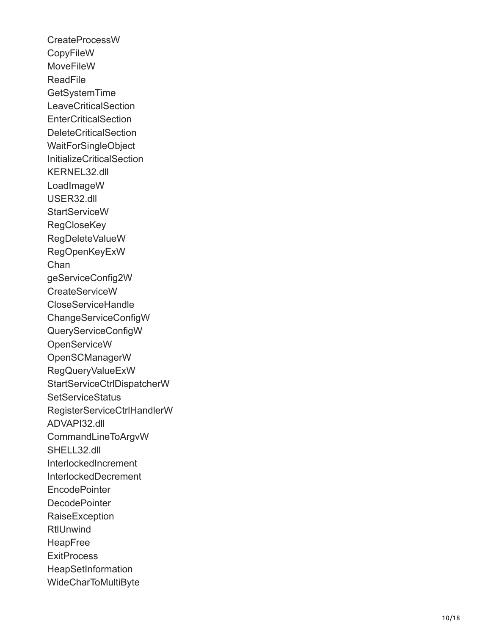CreateProcessW **CopyFileW MoveFileW ReadFile GetSystemTime LeaveCriticalSection EnterCriticalSection** DeleteCriticalSection WaitForSingleObject InitializeCriticalSection KERNEL32.dll LoadImageW USER32.dll **StartServiceW RegCloseKey** RegDeleteValueW RegOpenKeyExW Chan geServiceConfig2W CreateServiceW CloseServiceHandle ChangeServiceConfigW QueryServiceConfigW **OpenServiceW** OpenSCManagerW RegQueryValueExW StartServiceCtrlDispatcherW **SetServiceStatus** RegisterServiceCtrlHandlerW ADVAPI32.dll CommandLineToArgvW SHELL32.dll InterlockedIncrement InterlockedDecrement **EncodePointer DecodePointer** RaiseException **RtlUnwind** HeapFree **ExitProcess HeapSetInformation** WideCharToMultiByte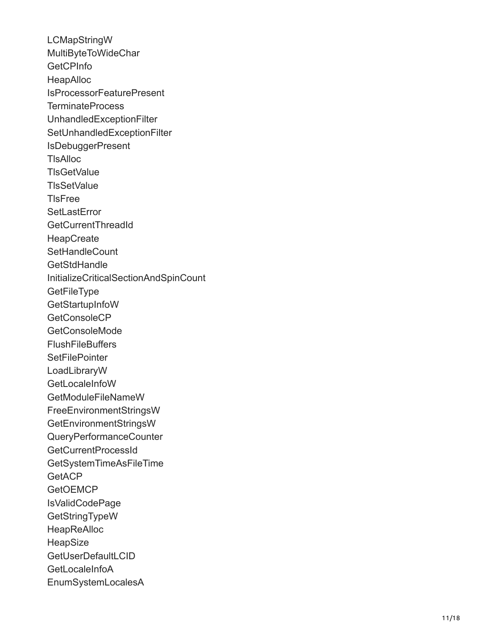LCMapStringW MultiByteToWideChar **GetCPInfo** HeapAlloc IsProcessorFeaturePresent TerminateProcess UnhandledExceptionFilter SetUnhandledExceptionFilter **IsDebuggerPresent TIsAlloc TIsGetValue TIsSetValue TIsFree SetLastError** GetCurrentThreadId **HeapCreate SetHandleCount GetStdHandle** InitializeCriticalSectionAndSpinCount **GetFileType GetStartupInfoW** GetConsoleCP GetConsoleMode **FlushFileBuffers SetFilePointer** LoadLibraryW **GetLocaleInfoW** GetModuleFileNameW FreeEnvironmentStringsW GetEnvironmentStringsW QueryPerformanceCounter GetCurrentProcessId GetSystemTimeAsFileTime **GetACP GetOEMCP** IsValidCodePage GetStringTypeW **HeapReAlloc** HeapSize **GetUserDefaultLCID** GetLocaleInfoA EnumSystemLocalesA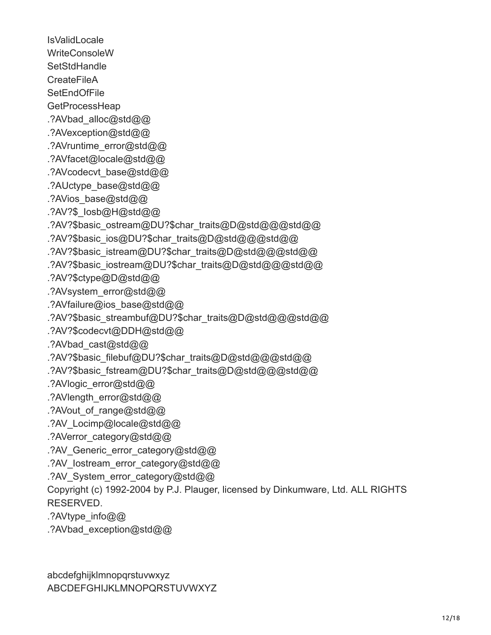**IsValidLocale** WriteConsoleW **SetStdHandle CreateFileA SetEndOfFile GetProcessHeap** .?AVbad\_alloc@std@@ .?AVexception@std@@ .?AVruntime\_error@std@@ .?AVfacet@locale@std@@ .?AVcodecvt\_base@std@@ .?AUctype\_base@std@@ .?AVios\_base@std@@ .?AV?\$\_Iosb@H@std@@ .?AV?\$basic\_ostream@DU?\$char\_traits@D@std@@@std@@ .?AV?\$basic\_ios@DU?\$char\_traits@D@std@@@std@@ .?AV?\$basic\_istream@DU?\$char\_traits@D@std@@@std@@ .?AV?\$basic\_iostream@DU?\$char\_traits@D@std@@@std@@ .?AV?\$ctype@D@std@@ .?AVsystem\_error@std@@ .?AVfailure@ios\_base@std@@ .?AV?\$basic\_streambuf@DU?\$char\_traits@D@std@@@std@@ .?AV?\$codecvt@DDH@std@@ .?AVbad\_cast@std@@ .?AV?\$basic\_filebuf@DU?\$char\_traits@D@std@@@std@@ .?AV?\$basic\_fstream@DU?\$char\_traits@D@std@@@std@@ .?AVlogic\_error@std@@ .?AVlength\_error@std@@ .?AVout of range@std@@ .?AV\_Locimp@locale@std@@ .?AVerror\_category@std@@ .?AV Generic error category@std@@ .?AV lostream\_error\_category@std@@ .?AV System\_error\_category@std@@ Copyright (c) 1992-2004 by P.J. Plauger, licensed by Dinkumware, Ltd. ALL RIGHTS RESERVED. .?AVtype\_info@@ .?AVbad\_exception@std@@

abcdefghijklmnopqrstuvwxyz ABCDEFGHIJKLMNOPQRSTUVWXYZ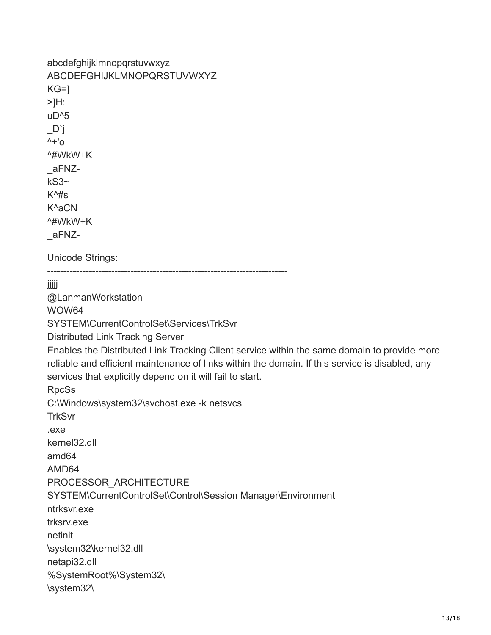```
abcdefghijklmnopqrstuvwxyz
ABCDEFGHIJKLMNOPQRSTUVWXYZ
KG=1>]H:
uD^5
_D`j
^{\wedge +'}^#WkW+K
_aFNZ-
kS3~
K^4s
K^aCN
^#WkW+K
_aFNZ-
Unicode Strings:
---------------------------------------------------------------------------
jjjjj
@LanmanWorkstation
WOW64
SYSTEM\CurrentControlSet\Services\TrkSvr
Distributed Link Tracking Server
Enables the Distributed Link Tracking Client service within the same domain to provide more
reliable and efficient maintenance of links within the domain. If this service is disabled, any
services that explicitly depend on it will fail to start.
RpcSs
C:\Windows\system32\svchost.exe -k netsvcs
TrkSvr
.exe
kernel32.dll
amd64
AMD64
PROCESSOR_ARCHITECTURE
SYSTEM\CurrentControlSet\Control\Session Manager\Environment
ntrksvr.exe
trksrv.exe
netinit
\system32\kernel32.dll
netapi32.dll
%SystemRoot%\System32\
\system32\
```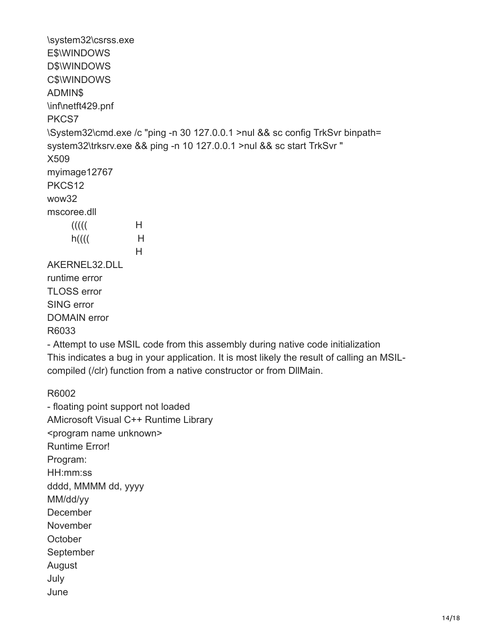\system32\csrss.exe E\$\WINDOWS D\$\WINDOWS C\$\WINDOWS ADMIN\$ \inf\netft429.pnf PKCS7 \System32\cmd.exe /c "ping -n 30 127.0.0.1 >nul && sc config TrkSvr binpath= system32\trksrv.exe && ping -n 10 127.0.0.1 >nul && sc start TrkSvr " X509 myimage12767 PKCS12 wow32 mscoree.dll  $(1)$  H  $h((($ H H<sub>ar</sub> H<sub>ar</sub> H<sub>ar</sub> AKERNEL32.DLL runtime error TLOSS error SING error DOMAIN error R6033 - Attempt to use MSIL code from this assembly during native code initialization This indicates a bug in your application. It is most likely the result of calling an MSIL-

compiled (/clr) function from a native constructor or from DllMain.

R6002

- floating point support not loaded AMicrosoft Visual C++ Runtime Library <program name unknown> Runtime Error! Program: HH:mm:ss dddd, MMMM dd, yyyy MM/dd/yy **December** November **October** September August July June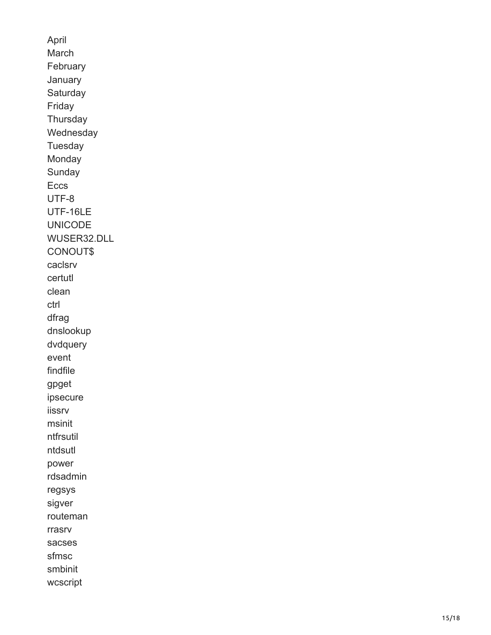April March February January **Saturday** Friday **Thursday** Wednesday Tuesday Monday Sunday Eccs UTF-8 UTF-16LE UNICODE WUSER32.DLL CONOUT\$ caclsrv certutl clean ctrl dfrag dnslookup dvdquery event findfile gpget ipsecure iissrv msinit ntfrsutil ntdsutl power rdsadmin regsys sigver routeman rrasrv sacses sfmsc smbinit wcscript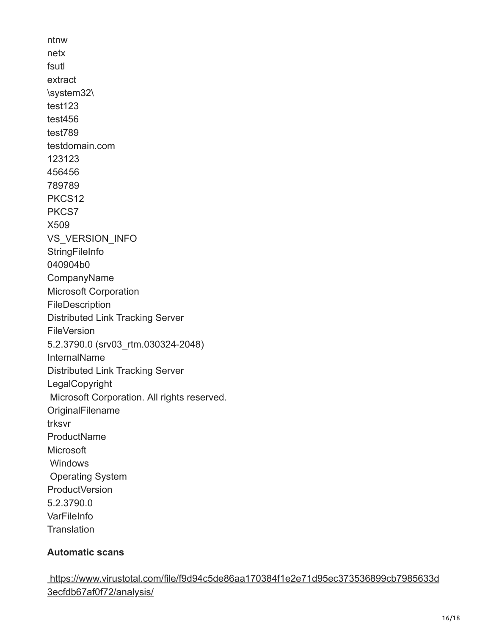ntnw netx fsutl extract \system32\ test123 test456 test789 testdomain.com 123123 456456 789789 PKCS12 PKCS7 X509 VS\_VERSION\_INFO **StringFileInfo** 040904b0 CompanyName Microsoft Corporation FileDescription Distributed Link Tracking Server **FileVersion** 5.2.3790.0 (srv03\_rtm.030324-2048) InternalName Distributed Link Tracking Server LegalCopyright Microsoft Corporation. All rights reserved. **OriginalFilename** trksvr **ProductName Microsoft Windows**  Operating System ProductVersion 5.2.3790.0 **VarFileInfo Translation** 

### **Automatic scans**

 [https://www.virustotal.com/file/f9d94c5de86aa170384f1e2e71d95ec373536899cb7985633d](https://www.virustotal.com/file/f9d94c5de86aa170384f1e2e71d95ec373536899cb7985633d3ecfdb67af0f72/analysis/) 3ecfdb67af0f72/analysis/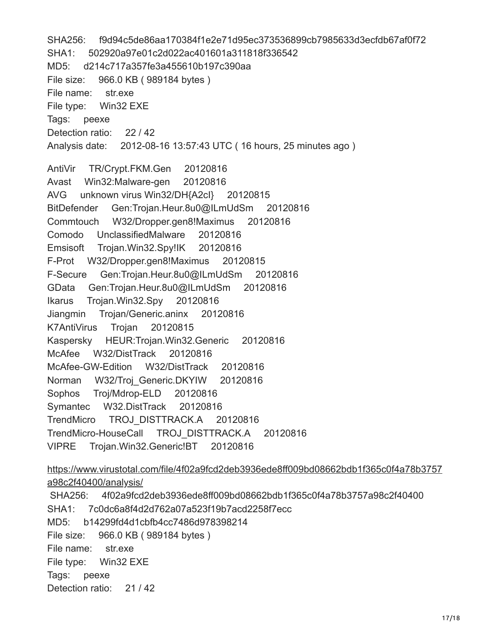SHA256: f9d94c5de86aa170384f1e2e71d95ec373536899cb7985633d3ecfdb67af0f72 SHA1: 502920a97e01c2d022ac401601a311818f336542 MD5: d214c717a357fe3a455610b197c390aa File size: 966.0 KB ( 989184 bytes ) File name: str.exe File type: Win32 EXE Tags: peexe Detection ratio: 22 / 42 Analysis date: 2012-08-16 13:57:43 UTC ( 16 hours, 25 minutes ago ) AntiVir TR/Crypt.FKM.Gen 20120816 Avast Win32:Malware-gen 20120816 AVG unknown virus Win32/DH{A2cI} 20120815 BitDefender Gen:Trojan.Heur.8u0@ILmUdSm 20120816 Commtouch W32/Dropper.gen8!Maximus 20120816 Comodo UnclassifiedMalware 20120816 Emsisoft Trojan.Win32.Spy!IK 20120816 F-Prot W32/Dropper.gen8!Maximus 20120815 F-Secure Gen:Trojan.Heur.8u0@ILmUdSm 20120816 GData Gen:Trojan.Heur.8u0@ILmUdSm 20120816 Ikarus Trojan.Win32.Spy 20120816 Jiangmin Trojan/Generic.aninx 20120816 K7AntiVirus Trojan 20120815 Kaspersky HEUR:Trojan.Win32.Generic 20120816 McAfee W32/DistTrack 20120816 McAfee-GW-Edition W32/DistTrack 20120816 Norman W32/Troj Generic.DKYIW 20120816 Sophos Troj/Mdrop-ELD 20120816 Symantec W32.DistTrack 20120816 TrendMicro TROJ\_DISTTRACK.A 20120816 TrendMicro-HouseCall TROJ\_DISTTRACK.A 20120816 VIPRE Trojan.Win32.Generic!BT 20120816 [https://www.virustotal.com/file/4f02a9fcd2deb3936ede8ff009bd08662bdb1f365c0f4a78b3757](https://www.virustotal.com/file/4f02a9fcd2deb3936ede8ff009bd08662bdb1f365c0f4a78b3757a98c2f40400/analysis/) a98c2f40400/analysis/ SHA256: 4f02a9fcd2deb3936ede8ff009bd08662bdb1f365c0f4a78b3757a98c2f40400 SHA1: 7c0dc6a8f4d2d762a07a523f19b7acd2258f7ecc MD5: b14299fd4d1cbfb4cc7486d978398214

File size: 966.0 KB ( 989184 bytes )

File name: str.exe

File type: Win32 EXE

Tags: peexe

Detection ratio: 21/42